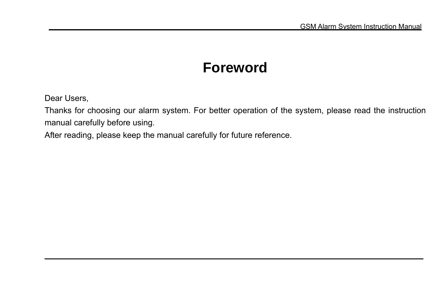# **Foreword**

Dear Users,

Thanks for choosing our alarm system. For better operation of the system, please read the instruction manual carefully before using.

After reading, please keep the manual carefully for future reference.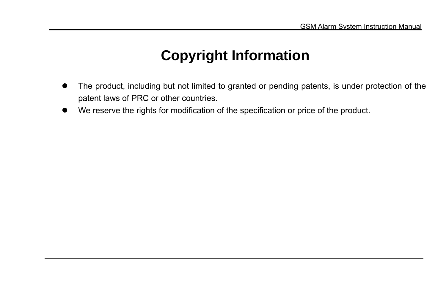# **Copyright Information**

- The product, including but not limited to granted or pending patents, is under protection of the patent laws of PRC or other countries.
- We reserve the rights for modification of the specification or price of the product.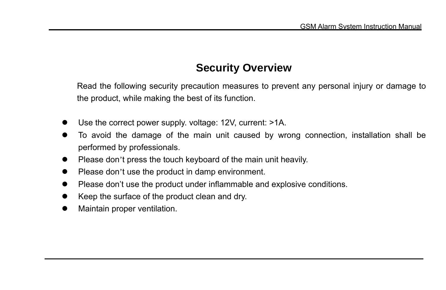## **Security Overview**

Read the following security precaution measures to prevent any personal injury or damage to the product, while making the best of its function.

- Use the correct power supply. voltage: 12V, current: >1A.
- To avoid the damage of the main unit caused by wrong connection, installation shall be performed by professionals.
- Please don't press the touch keyboard of the main unit heavily.
- Please don't use the product in damp environment.
- Please don't use the product under inflammable and explosive conditions.
- Keep the surface of the product clean and dry.
- Maintain proper ventilation.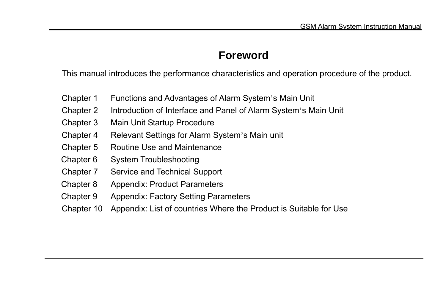## **Foreword**

This manual introduces the performance characteristics and operation procedure of the product.

- Chapter 1 Functions and Advantages of Alarm System's Main Unit
- Chapter 2 Introduction of Interface and Panel of Alarm System's Main Unit
- Chapter 3 Main Unit Startup Procedure
- Chapter 4 Relevant Settings for Alarm System's Main unit
- Chapter 5 Routine Use and Maintenance
- Chapter 6 System Troubleshooting
- Chapter 7 Service and Technical Support
- Chapter 8 Appendix: Product Parameters
- Chapter 9 Appendix: Factory Setting Parameters
- Chapter 10 Appendix: List of countries Where the Product is Suitable for Use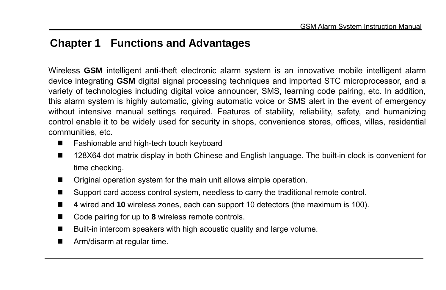## **Chapter 1 Functions and Advantages**

Wireless **GSM** intelligent anti-theft electronic alarm system is an innovative mobile intelligent alarm device integrating **GSM** digital signal processing techniques and imported STC microprocessor, and a variety of technologies including digital voice announcer, SMS, learning code pairing, etc. In addition, this alarm system is highly automatic, giving automatic voice or SMS alert in the event of emergency without intensive manual settings required. Features of stability, reliability, safety, and humanizing control enable it to be widely used for security in shops, convenience stores, offices, villas, residential communities, etc.

- Fashionable and high-tech touch keyboard
- 128X64 dot matrix display in both Chinese and English language. The built-in clock is convenient for time checking.
- Original operation system for the main unit allows simple operation.
- Support card access control system, needless to carry the traditional remote control.
- $\blacksquare$ **4** wired and **10** wireless zones, each can support 10 detectors (the maximum is 100).
- Code pairing for up to **8** wireless remote controls.
- Built-in intercom speakers with high acoustic quality and large volume.
- Arm/disarm at regular time.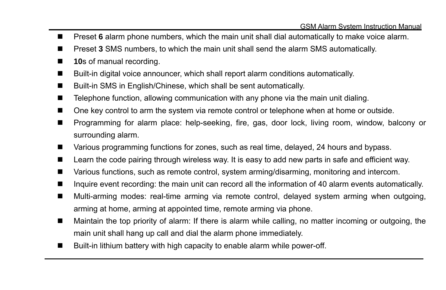- **Preset 6** alarm phone numbers, which the main unit shall dial automatically to make voice alarm.
- Preset **3** SMS numbers, to which the main unit shall send the alarm SMS automatically.
- . **10**s of manual recording.
- Built-in digital voice announcer, which shall report alarm conditions automatically.
- $\blacksquare$  Built-in SMS in English/Chinese, which shall be sent automatically.
- $\blacksquare$  Telephone function, allowing communication with any phone via the main unit dialing.
- One key control to arm the system via remote control or telephone when at home or outside.
- Programming for alarm place: help-seeking, fire, gas, door lock, living room, window, balcony or surrounding alarm.
- Various programming functions for zones, such as real time, delayed, 24 hours and bypass.
- Learn the code pairing through wireless way. It is easy to add new parts in safe and efficient way.
- Various functions, such as remote control, system arming/disarming, monitoring and intercom.
- Inquire event recording: the main unit can record all the information of 40 alarm events automatically.
- Multi-arming modes: real-time arming via remote control, delayed system arming when outgoing, arming at home, arming at appointed time, remote arming via phone.
- Maintain the top priority of alarm: If there is alarm while calling, no matter incoming or outgoing, the main unit shall hang up call and dial the alarm phone immediately.
- Built-in lithium battery with high capacity to enable alarm while power-off.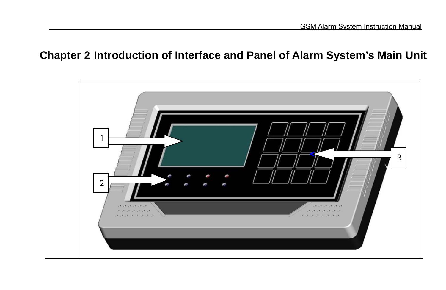## **Chapter 2 Introduction of Interface and Panel of Alarm System's Main Unit**

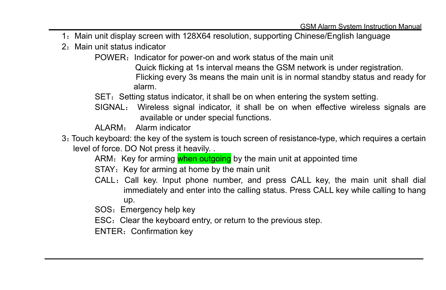- 1:Main unit display screen with 128X64 resolution, supporting Chinese/English language
- 2:Main unit status indicator
	- POWER: Indicator for power-on and work status of the main unit Quick flicking at 1s interval means the GSM network is under registration. Flicking every 3s means the main unit is in normal standby status and ready for alarm.
	- SET: Setting status indicator, it shall be on when entering the system setting.
	- SIGNAL: Wireless signal indicator, it shall be on when effective wireless signals are available or under special functions.
	- ALARM: Alarm indicator
- 3:Touch keyboard: the key of the system is touch screen of resistance-type, which requires a certain level of force. DO Not press it heavily. .
	- ARM: Key for arming when outgoing by the main unit at appointed time
	- STAY: Key for arming at home by the main unit
	- CALL: Call key. Input phone number, and press CALL key, the main unit shall dial immediately and enter into the calling status. Press CALL key while calling to hang up.
	- SOS: Emergency help key
	- ESC: Clear the keyboard entry, or return to the previous step.
	- ENTER: Confirmation key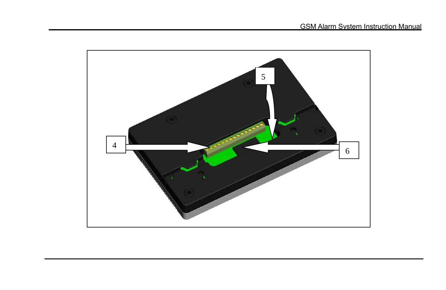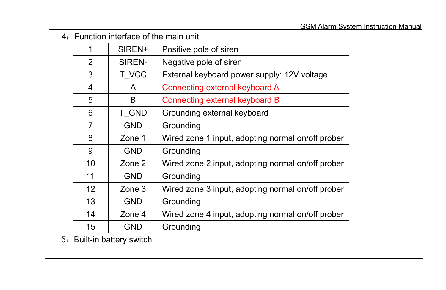4: Function interface of the main unit

| 1                 | SIREN+     | Positive pole of siren                            |
|-------------------|------------|---------------------------------------------------|
| $\overline{2}$    | SIREN-     | Negative pole of siren                            |
| 3                 | T VCC      | External keyboard power supply: 12V voltage       |
| 4                 | A          | Connecting external keyboard A                    |
| 5                 | B          | Connecting external keyboard B                    |
| 6                 | T GND      | Grounding external keyboard                       |
| 7                 | GND        | Grounding                                         |
| 8                 | Zone 1     | Wired zone 1 input, adopting normal on/off prober |
| 9                 | <b>GND</b> | Grounding                                         |
| 10                | Zone 2     | Wired zone 2 input, adopting normal on/off prober |
| 11                | GND        | Grounding                                         |
| $12 \overline{ }$ | Zone 3     | Wired zone 3 input, adopting normal on/off prober |
| 13                | GND        | Grounding                                         |
| 14                | Zone 4     | Wired zone 4 input, adopting normal on/off prober |
| 15                | <b>GND</b> | Grounding                                         |

5: Built-in battery switch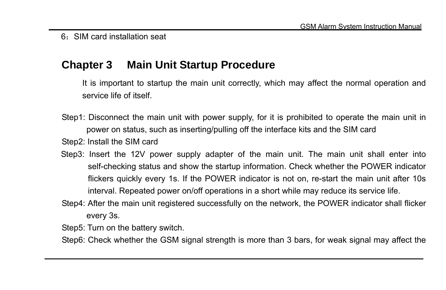#### 6:SIM card installation seat

## **Chapter 3 Main Unit Startup Procedure**

 It is important to startup the main unit correctly, which may affect the normal operation and service life of itself.

- Step1: Disconnect the main unit with power supply, for it is prohibited to operate the main unit in power on status, such as inserting/pulling off the interface kits and the SIM card
- Step2: Install the SIM card
- Step3: Insert the 12V power supply adapter of the main unit. The main unit shall enter into self-checking status and show the startup information. Check whether the POWER indicator flickers quickly every 1s. If the POWER indicator is not on, re-start the main unit after 10s interval. Repeated power on/off operations in a short while may reduce its service life.
- Step4: After the main unit registered successfully on the network, the POWER indicator shall flicker every 3s.

Step5: Turn on the battery switch.

Step6: Check whether the GSM signal strength is more than 3 bars, for weak signal may affect the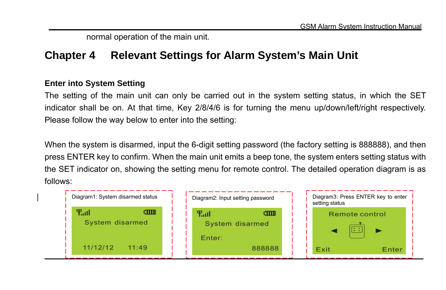normal operation of the main unit.

## **Chapter 4 Relevant Settings for Alarm System's Main Unit**

### **Enter into System Setting**

The setting of the main unit can only be carried out in the system setting status, in which the SET indicator shall be on. At that time, Key 2/8/4/6 is for turning the menu up/down/left/right respectively. Please follow the way below to enter into the setting:

When the system is disarmed, input the 6-digit setting password (the factory setting is 888888), and then press ENTER key to confirm. When the main unit emits a beep tone, the system enters setting status with the SET indicator on, showing the setting menu for remote control. The detailed operation diagram is as follows:

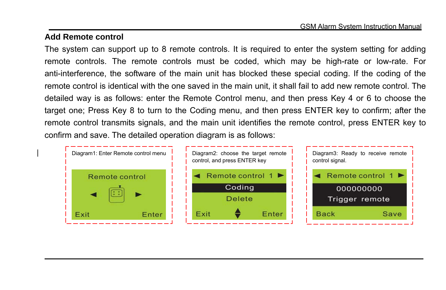#### **Add Remote control**

The system can support up to 8 remote controls. It is required to enter the system setting for adding remote controls. The remote controls must be coded, which may be high-rate or low-rate. For anti-interference, the software of the main unit has blocked these special coding. If the coding of the remote control is identical with the one saved in the main unit, it shall fail to add new remote control. The detailed way is as follows: enter the Remote Control menu, and then press Key 4 or 6 to choose the target one; Press Key 8 to turn to the Coding menu, and then press ENTER key to confirm; after the remote control transmits signals, and the main unit identifies the remote control, press ENTER key to confirm and save. The detailed operation diagram is as follows:

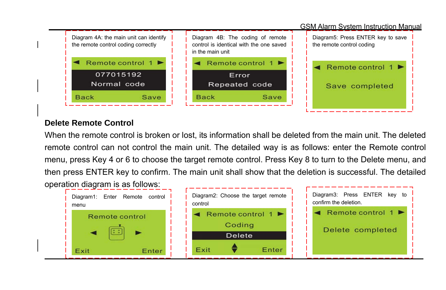

## **Delete Remote Control**

When the remote control is broken or lost, its information shall be deleted from the main unit. The deleted remote control can not control the main unit. The detailed way is as follows: enter the Remote control menu, press Key 4 or 6 to choose the target remote control. Press Key 8 to turn to the Delete menu, and then press ENTER key to confirm. The main unit shall show that the deletion is successful. The detailed operation diagram is as follows:

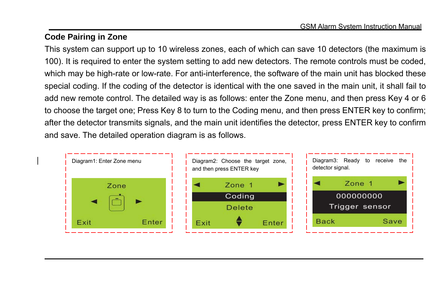## **Code Pairing in Zone**

This system can support up to 10 wireless zones, each of which can save 10 detectors (the maximum is 100). It is required to enter the system setting to add new detectors. The remote controls must be coded, which may be high-rate or low-rate. For anti-interference, the software of the main unit has blocked these special coding. If the coding of the detector is identical with the one saved in the main unit, it shall fail to add new remote control. The detailed way is as follows: enter the Zone menu, and then press Key 4 or 6 to choose the target one; Press Key 8 to turn to the Coding menu, and then press ENTER key to confirm; after the detector transmits signals, and the main unit identifies the detector, press ENTER key to confirm and save. The detailed operation diagram is as follows.

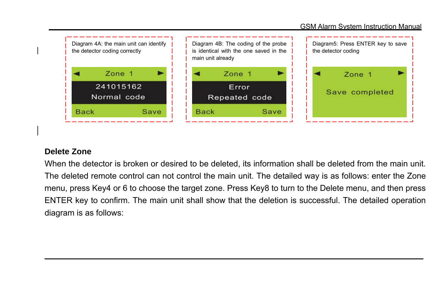GSM Alarm System Instruction Manual



#### **Delete Zone**

When the detector is broken or desired to be deleted, its information shall be deleted from the main unit. The deleted remote control can not control the main unit. The detailed way is as follows: enter the Zone menu, press Key4 or 6 to choose the target zone. Press Key8 to turn to the Delete menu, and then press ENTER key to confirm. The main unit shall show that the deletion is successful. The detailed operation diagram is as follows: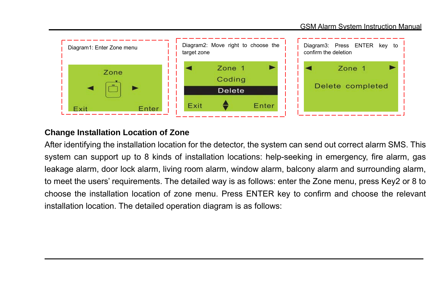#### GSM Alarm System Instruction Manual



#### **Change Installation Location of Zone**

After identifying the installation location for the detector, the system can send out correct alarm SMS. This system can support up to 8 kinds of installation locations: help-seeking in emergency, fire alarm, gas leakage alarm, door lock alarm, living room alarm, window alarm, balcony alarm and surrounding alarm, to meet the users' requirements. The detailed way is as follows: enter the Zone menu, press Key2 or 8 to choose the installation location of zone menu. Press ENTER key to confirm and choose the relevant installation location. The detailed operation diagram is as follows: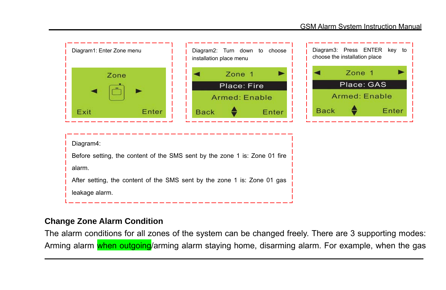

### **Change Zone Alarm Condition**

The alarm conditions for all zones of the system can be changed freely. There are 3 supporting modes: Arming alarm when outgoing/arming alarm staying home, disarming alarm. For example, when the gas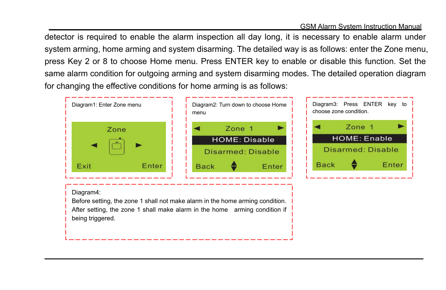detector is required to enable the alarm inspection all day long, it is necessary to enable alarm under system arming, home arming and system disarming. The detailed way is as follows: enter the Zone menu, press Key 2 or 8 to choose Home menu. Press ENTER key to enable or disable this function. Set the same alarm condition for outgoing arming and system disarming modes. The detailed operation diagram for changing the effective conditions for home arming is as follows:



Before setting, the zone 1 shall not make alarm in the home arming condition. After setting, the zone 1 shall make alarm in the home arming condition if being triggered.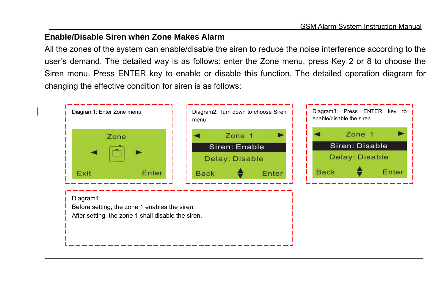#### **Enable/Disable Siren when Zone Makes Alarm**

All the zones of the system can enable/disable the siren to reduce the noise interference according to the user's demand. The detailed way is as follows: enter the Zone menu, press Key 2 or 8 to choose the Siren menu. Press ENTER key to enable or disable this function. The detailed operation diagram for changing the effective condition for siren is as follows:

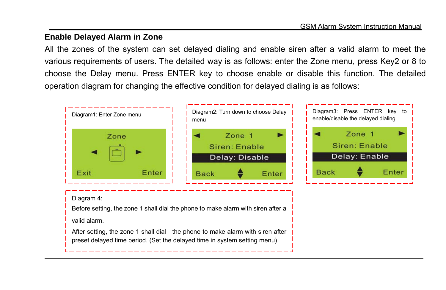#### **Enable Delayed Alarm in Zone**

All the zones of the system can set delayed dialing and enable siren after a valid alarm to meet the various requirements of users. The detailed way is as follows: enter the Zone menu, press Key2 or 8 to choose the Delay menu. Press ENTER key to choose enable or disable this function. The detailed operation diagram for changing the effective condition for delayed dialing is as follows:

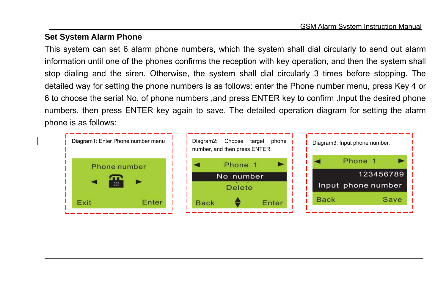#### **Set System Alarm Phone**

This system can set 6 alarm phone numbers, which the system shall dial circularly to send out alarm information until one of the phones confirms the reception with key operation, and then the system shall stop dialing and the siren. Otherwise, the system shall dial circularly 3 times before stopping. The detailed way for setting the phone numbers is as follows: enter the Phone number menu, press Key 4 or 6 to choose the serial No. of phone numbers ,and press ENTER key to confirm .Input the desired phone numbers, then press ENTER key again to save. The detailed operation diagram for setting the alarm phone is as follows:

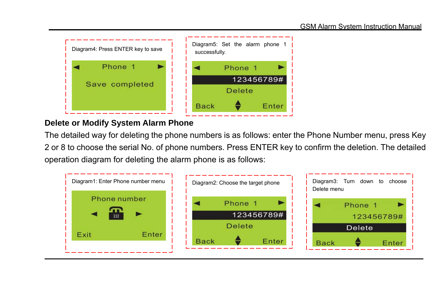

### **Delete or Modify System Alarm Phone**

The detailed way for deleting the phone numbers is as follows: enter the Phone Number menu, press Key 2 or 8 to choose the serial No. of phone numbers. Press ENTER key to confirm the deletion. The detailed operation diagram for deleting the alarm phone is as follows:

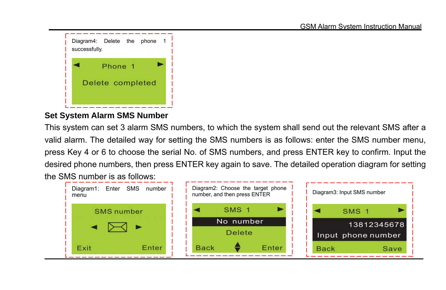

## **Set System Alarm SMS Number**

This system can set 3 alarm SMS numbers, to which the system shall send out the relevant SMS after a valid alarm. The detailed way for setting the SMS numbers is as follows: enter the SMS number menu, press Key 4 or 6 to choose the serial No. of SMS numbers, and press ENTER key to confirm. Input the desired phone numbers, then press ENTER key again to save. The detailed operation diagram for setting the SMS number is as follows:

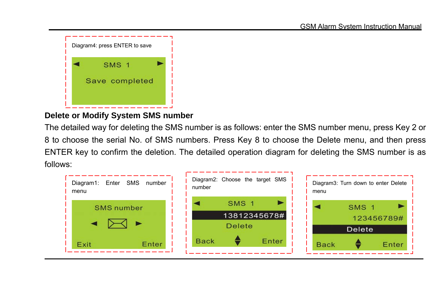

## **Delete or Modify System SMS number**

The detailed way for deleting the SMS number is as follows: enter the SMS number menu, press Key 2 or 8 to choose the serial No. of SMS numbers. Press Key 8 to choose the Delete menu, and then press ENTER key to confirm the deletion. The detailed operation diagram for deleting the SMS number is as follows:

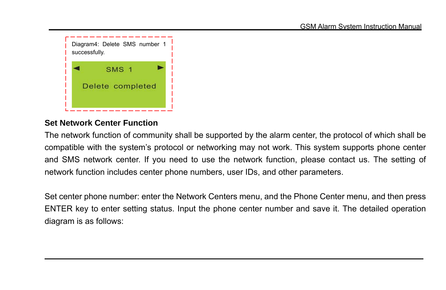

### **Set Network Center Function**

The network function of community shall be supported by the alarm center, the protocol of which shall be compatible with the system's protocol or networking may not work. This system supports phone center and SMS network center. If you need to use the network function, please contact us. The setting of network function includes center phone numbers, user IDs, and other parameters.

Set center phone number: enter the Network Centers menu, and the Phone Center menu, and then press ENTER key to enter setting status. Input the phone center number and save it. The detailed operation diagram is as follows: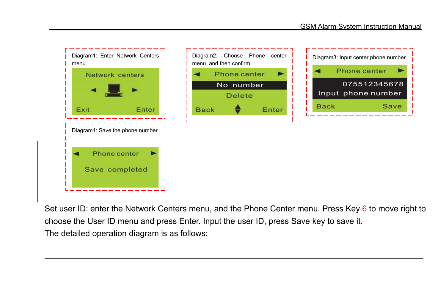

Set user ID: enter the Network Centers menu, and the Phone Center menu. Press Key 6 to move right to choose the User ID menu and press Enter. Input the user ID, press Save key to save it. The detailed operation diagram is as follows: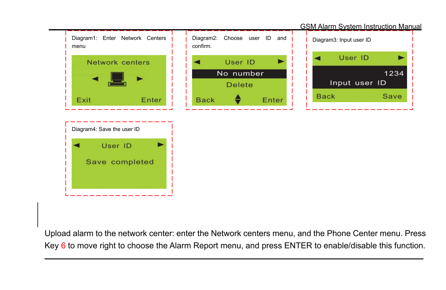

Upload alarm to the network center: enter the Network centers menu, and the Phone Center menu. Press Key 6 to move right to choose the Alarm Report menu, and press ENTER to enable/disable this function.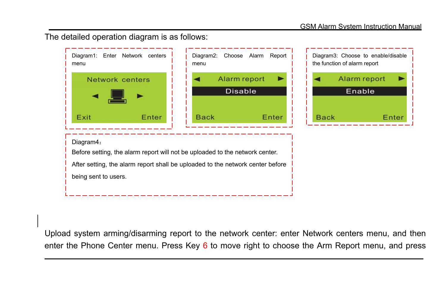The detailed operation diagram is as follows:



Upload system arming/disarming report to the network center: enter Network centers menu, and then enter the Phone Center menu. Press Key  $6$  to move right to choose the Arm Report menu, and press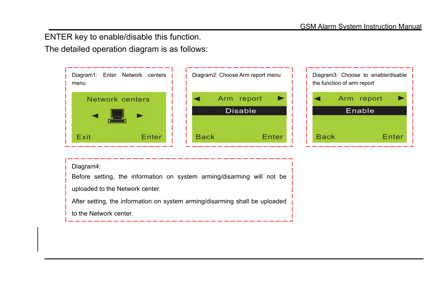ENTER key to enable/disable this function. The detailed operation diagram is as follows:

| Diagram1: Enter Network centers<br>menu | Diagram2: Choose Arm report menu | Diagram3: Choose to enable/disable<br>the function of arm report |  |  |
|-----------------------------------------|----------------------------------|------------------------------------------------------------------|--|--|
| Network centers                         | Arm report<br><b>Disable</b>     | Arm report<br>Enable                                             |  |  |
| Exit<br>Enter                           | <b>Back</b><br>Enter             | <b>Back</b><br>Enter                                             |  |  |

Diagram4: Before setting, the information on system arming/disarming will not be uploaded to the Network center. After setting, the information on system arming/disarming shall be uploaded to the Network center.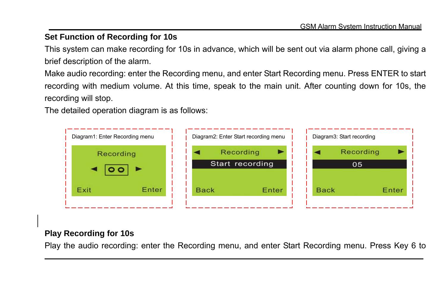## **Set Function of Recording for 10s**

This system can make recording for 10s in advance, which will be sent out via alarm phone call, giving a brief description of the alarm.

Make audio recording: enter the Recording menu, and enter Start Recording menu. Press ENTER to start recording with medium volume. At this time, speak to the main unit. After counting down for 10s, the recording will stop.

The detailed operation diagram is as follows:



## **Play Recording for 10s**

Play the audio recording: enter the Recording menu, and enter Start Recording menu. Press Key 6 to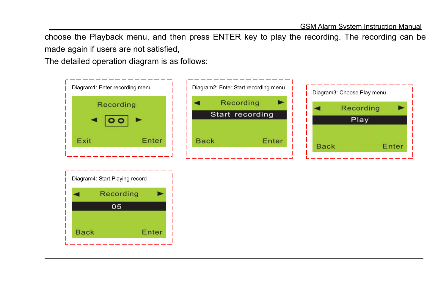GSM Alarm System Instruction Manual

choose the Playback menu, and then press ENTER key to play the recording. The recording can be made again if users are not satisfied,

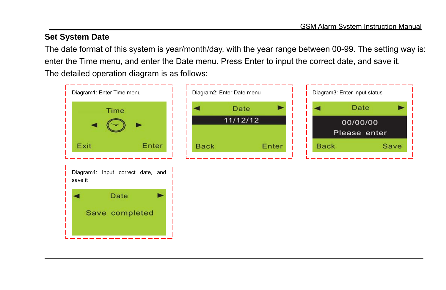## **Set System Date**

The date format of this system is year/month/day, with the year range between 00-99. The setting way is: enter the Time menu, and enter the Date menu. Press Enter to input the correct date, and save it. The detailed operation diagram is as follows:

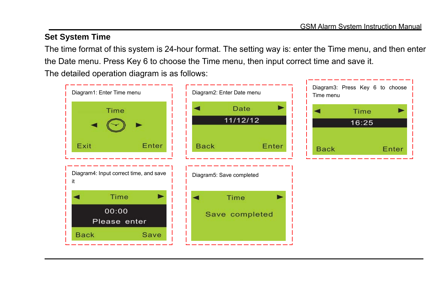### **Set System Time**

The time format of this system is 24-hour format. The setting way is: enter the Time menu, and then enter the Date menu. Press Key 6 to choose the Time menu, then input correct time and save it.

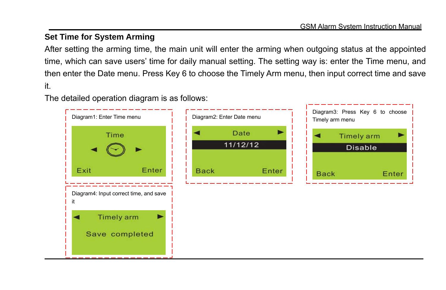## **Set Time for System Arming**

After setting the arming time, the main unit will enter the arming when outgoing status at the appointed time, which can save users' time for daily manual setting. The setting way is: enter the Time menu, and then enter the Date menu. Press Key 6 to choose the Timely Arm menu, then input correct time and save it.

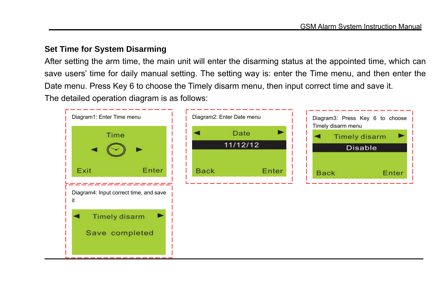#### **Set Time for System Disarming**

After setting the arm time, the main unit will enter the disarming status at the appointed time, which can save users' time for daily manual setting. The setting way is: enter the Time menu, and then enter the Date menu. Press Key 6 to choose the Timely disarm menu, then input correct time and save it.

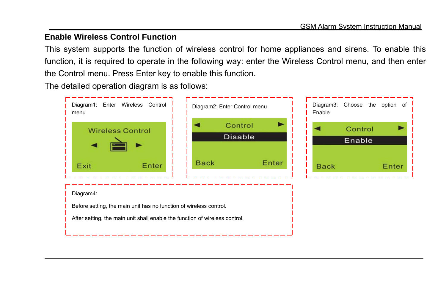#### **Enable Wireless Control Function**

This system supports the function of wireless control for home appliances and sirens. To enable this function, it is required to operate in the following way: enter the Wireless Control menu, and then enter the Control menu. Press Enter key to enable this function.

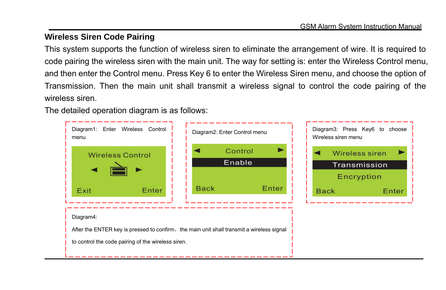### **Wireless Siren Code Pairing**

This system supports the function of wireless siren to eliminate the arrangement of wire. It is required to code pairing the wireless siren with the main unit. The way for setting is: enter the Wireless Control menu, and then enter the Control menu. Press Key 6 to enter the Wireless Siren menu, and choose the option of Transmission. Then the main unit shall transmit a wireless signal to control the code pairing of the wireless siren.

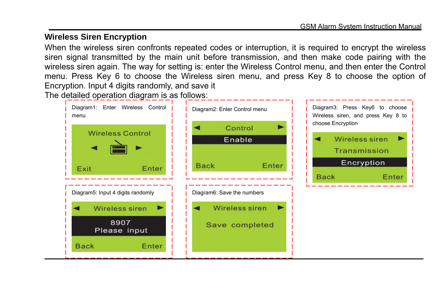## **Wireless Siren Encryption**

When the wireless siren confronts repeated codes or interruption, it is required to encrypt the wireless siren signal transmitted by the main unit before transmission, and then make code pairing with the wireless siren again. The way for setting is: enter the Wireless Control menu, and then enter the Control menu. Press Key 6 to choose the Wireless siren menu, and press Key 8 to choose the option of Encryption. Input 4 digits randomly, and save it

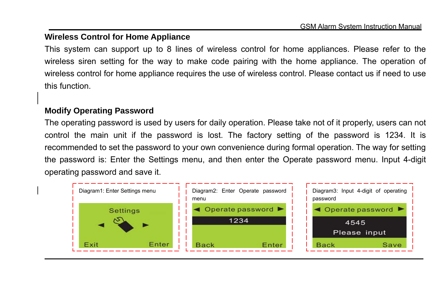#### **Wireless Control for Home Appliance**

This system can support up to 8 lines of wireless control for home appliances. Please refer to the wireless siren setting for the way to make code pairing with the home appliance. The operation of wireless control for home appliance requires the use of wireless control. Please contact us if need to use this function.

#### **Modify Operating Password**

The operating password is used by users for daily operation. Please take not of it properly, users can not control the main unit if the password is lost. The factory setting of the password is 1234. It is recommended to set the password to your own convenience during formal operation. The way for setting the password is: Enter the Settings menu, and then enter the Operate password menu. Input 4-digit operating password and save it.

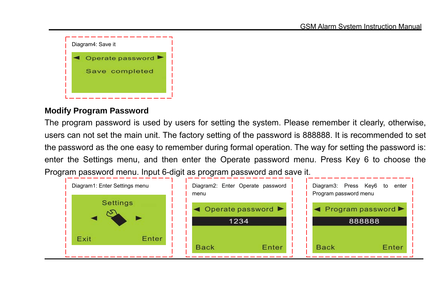

#### **Modify Program Password**

The program password is used by users for setting the system. Please remember it clearly, otherwise, users can not set the main unit. The factory setting of the password is 888888. It is recommended to set the password as the one easy to remember during formal operation. The way for setting the password is: enter the Settings menu, and then enter the Operate password menu. Press Key 6 to choose the Program password menu. Input 6-digit as program password and save it.

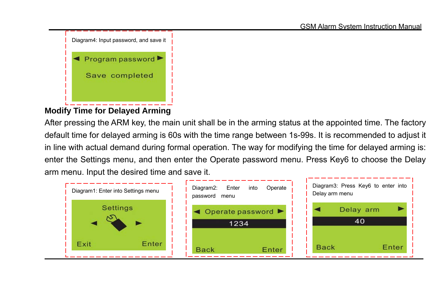

## **Modify Time for Delayed Arming**

After pressing the ARM key, the main unit shall be in the arming status at the appointed time. The factory default time for delayed arming is 60s with the time range between 1s-99s. It is recommended to adjust it in line with actual demand during formal operation. The way for modifying the time for delayed arming is: enter the Settings menu, and then enter the Operate password menu. Press Key6 to choose the Delay arm menu. Input the desired time and save it.

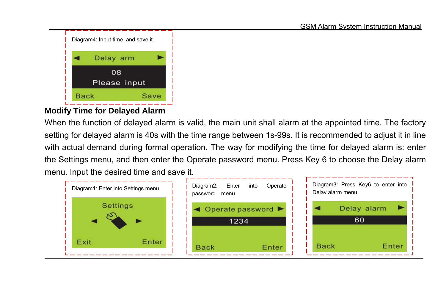

## **Modify Time for Delayed Alarm**

When the function of delayed alarm is valid, the main unit shall alarm at the appointed time. The factory setting for delayed alarm is 40s with the time range between 1s-99s. It is recommended to adjust it in line with actual demand during formal operation. The way for modifying the time for delayed alarm is: enter the Settings menu, and then enter the Operate password menu. Press Key 6 to choose the Delay alarm menu. Input the desired time and save it.

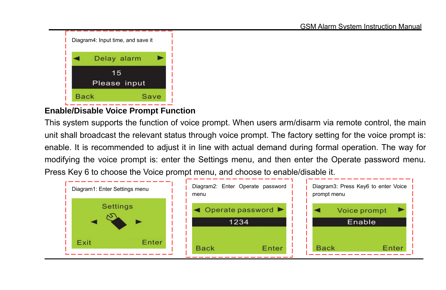

## **Enable/Disable Voice Prompt Function**

This system supports the function of voice prompt. When users arm/disarm via remote control, the main unit shall broadcast the relevant status through voice prompt. The factory setting for the voice prompt is: enable. It is recommended to adjust it in line with actual demand during formal operation. The way for modifying the voice prompt is: enter the Settings menu, and then enter the Operate password menu. Press Key 6 to choose the Voice prompt menu, and choose to enable/disable it.

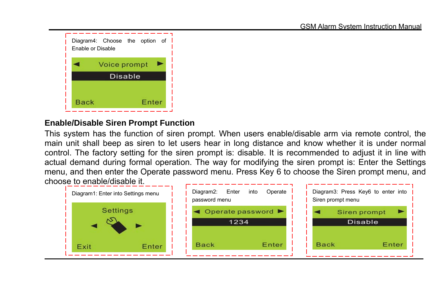

## **Enable/Disable Siren Prompt Function**

This system has the function of siren prompt. When users enable/disable arm via remote control, the main unit shall beep as siren to let users hear in long distance and know whether it is under normal control. The factory setting for the siren prompt is: disable. It is recommended to adjust it in line with actual demand during formal operation. The way for modifying the siren prompt is: Enter the Settings menu, and then enter the Operate password menu. Press Key 6 to choose the Siren prompt menu, and choose to enable/disable it.

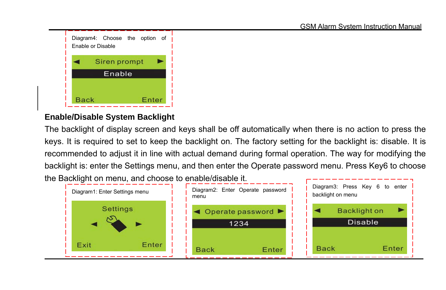

## **Enable/Disable System Backlight**

The backlight of display screen and keys shall be off automatically when there is no action to press the keys. It is required to set to keep the backlight on. The factory setting for the backlight is: disable. It is recommended to adjust it in line with actual demand during formal operation. The way for modifying the backlight is: enter the Settings menu, and then enter the Operate password menu. Press Key6 to choose the Backlight on menu, and choose to enable/disable it.

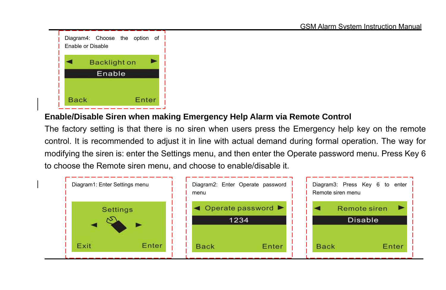

## **Enable/Disable Siren when making Emergency Help Alarm via Remote Control**

The factory setting is that there is no siren when users press the Emergency help key on the remote control. It is recommended to adjust it in line with actual demand during formal operation. The way for modifying the siren is: enter the Settings menu, and then enter the Operate password menu. Press Key 6 to choose the Remote siren menu, and choose to enable/disable it.

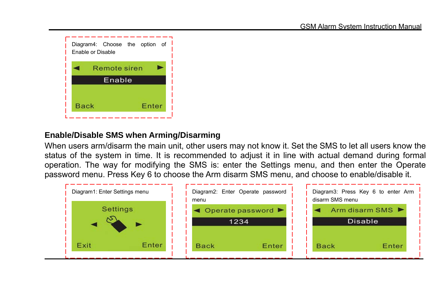

## **Enable/Disable SMS when Arming/Disarming**

When users arm/disarm the main unit, other users may not know it. Set the SMS to let all users know the status of the system in time. It is recommended to adjust it in line with actual demand during formal operation. The way for modifying the SMS is: enter the Settings menu, and then enter the Operate password menu. Press Key 6 to choose the Arm disarm SMS menu, and choose to enable/disable it.

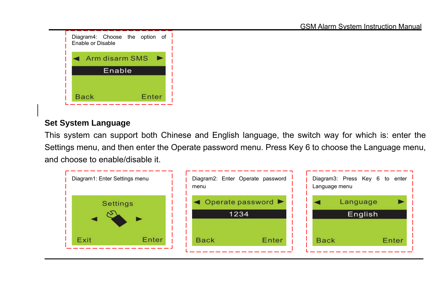

## **Set System Language**

This system can support both Chinese and English language, the switch way for which is: enter the Settings menu, and then enter the Operate password menu. Press Key 6 to choose the Language menu, and choose to enable/disable it.

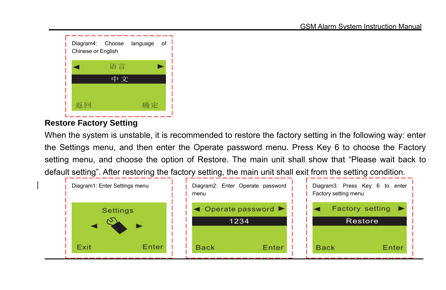

## **Restore Factory Setting**

When the system is unstable, it is recommended to restore the factory setting in the following way: enter the Settings menu, and then enter the Operate password menu. Press Key 6 to choose the Factory setting menu, and choose the option of Restore. The main unit shall show that "Please wait back to default setting". After restoring the factory setting, the main unit shall exit from the setting condition.

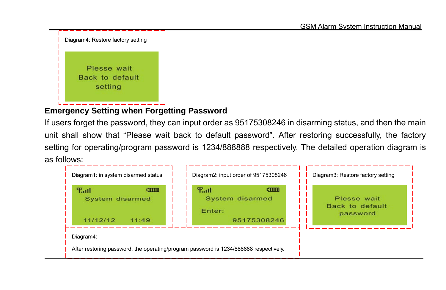

## **Emergency Setting when Forgetting Password**

If users forget the password, they can input order as 95175308246 in disarming status, and then the main unit shall show that "Please wait back to default password". After restoring successfully, the factory setting for operating/program password is 1234/888888 respectively. The detailed operation diagram is as follows:

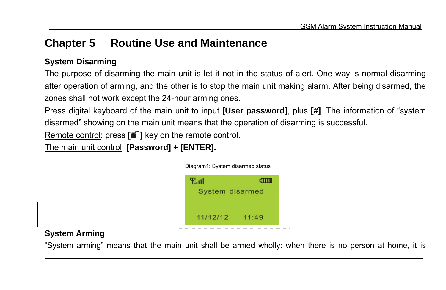## **Chapter 5 Routine Use and Maintenance**

## **System Disarming**

The purpose of disarming the main unit is let it not in the status of alert. One way is normal disarming after operation of arming, and the other is to stop the main unit making alarm. After being disarmed, the zones shall not work except the 24-hour arming ones.

Press digital keyboard of the main unit to input **[User password]**, plus **[#]**. The information of "system disarmed" showing on the main unit means that the operation of disarming is successful.

Remote control: press **[ ]** key on the remote control.

The main unit control: **[Password] + [ENTER].** 



### **System Arming**

"System arming" means that the main unit shall be armed wholly: when there is no person at home, it is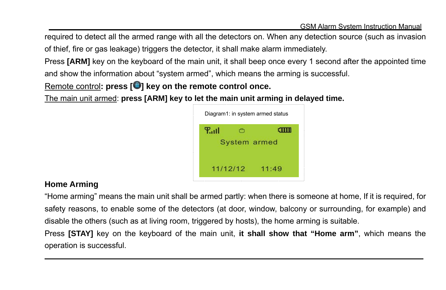required to detect all the armed range with all the detectors on. When any detection source (such as invasion of thief, fire or gas leakage) triggers the detector, it shall make alarm immediately.

Press **[ARM]** key on the keyboard of the main unit, it shall beep once every 1 second after the appointed time and show the information about "system armed", which means the arming is successful.

## Remote control: press  $\lceil \bigcirc \rceil$  key on the remote control once.

The main unit armed: **press [ARM] key to let the main unit arming in delayed time.** 



## **Home Arming**

"Home arming" means the main unit shall be armed partly: when there is someone at home, If it is required, for safety reasons, to enable some of the detectors (at door, window, balcony or surrounding, for example) and disable the others (such as at living room, triggered by hosts), the home arming is suitable.

Press **[STAY]** key on the keyboard of the main unit, **it shall show that "Home arm"**, which means the operation is successful.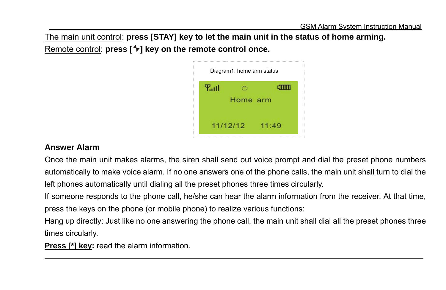The main unit control: **press [STAY] key to let the main unit in the status of home arming.** Remote control: **press [ ] key on the remote control once.** 



#### **Answer Alarm**

Once the main unit makes alarms, the siren shall send out voice prompt and dial the preset phone numbers automatically to make voice alarm. If no one answers one of the phone calls, the main unit shall turn to dial the left phones automatically until dialing all the preset phones three times circularly.

If someone responds to the phone call, he/she can hear the alarm information from the receiver. At that time, press the keys on the phone (or mobile phone) to realize various functions:

Hang up directly: Just like no one answering the phone call, the main unit shall dial all the preset phones three times circularly.

**Press [\*] key:** read the alarm information.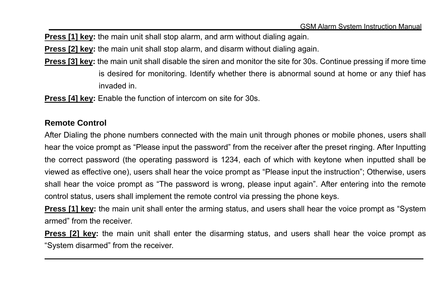**Press [1] key:** the main unit shall stop alarm, and arm without dialing again.

**Press [2] key:** the main unit shall stop alarm, and disarm without dialing again.

**Press [3] key:** the main unit shall disable the siren and monitor the site for 30s. Continue pressing if more time is desired for monitoring. Identify whether there is abnormal sound at home or any thief has invaded in.

**Press [4] key:** Enable the function of intercom on site for 30s.

#### **Remote Control**

After Dialing the phone numbers connected with the main unit through phones or mobile phones, users shall hear the voice prompt as "Please input the password" from the receiver after the preset ringing. After Inputting the correct password (the operating password is 1234, each of which with keytone when inputted shall be viewed as effective one), users shall hear the voice prompt as "Please input the instruction"; Otherwise, users shall hear the voice prompt as "The password is wrong, please input again". After entering into the remote control status, users shall implement the remote control via pressing the phone keys.

**Press [1] key:** the main unit shall enter the arming status, and users shall hear the voice prompt as "System armed" from the receiver.

**Press [2] key:** the main unit shall enter the disarming status, and users shall hear the voice prompt as "System disarmed" from the receiver.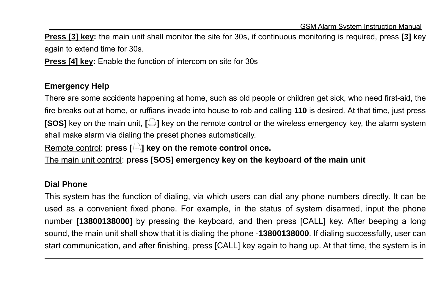**Press [3] key:** the main unit shall monitor the site for 30s, if continuous monitoring is required, press **[3]** key again to extend time for 30s.

**Press [4] key:** Enable the function of intercom on site for 30s

## **Emergency Help**

There are some accidents happening at home, such as old people or children get sick, who need first-aid, the fire breaks out at home, or ruffians invade into house to rob and calling **110** is desired. At that time, just press **[SOS]** key on the main unit,  $\Box$ ] key on the remote control or the wireless emergency key, the alarm system shall make alarm via dialing the preset phones automatically.

Remote control: **press [ ] key on the remote control once.**

The main unit control: **press [SOS] emergency key on the keyboard of the main unit** 

### **Dial Phone**

This system has the function of dialing, via which users can dial any phone numbers directly. It can be used as a convenient fixed phone. For example, in the status of system disarmed, input the phone number **[13800138000]** by pressing the keyboard, and then press [CALL] key. After beeping a long sound, the main unit shall show that it is dialing the phone -**13800138000**. If dialing successfully, user can start communication, and after finishing, press [CALL] key again to hang up. At that time, the system is in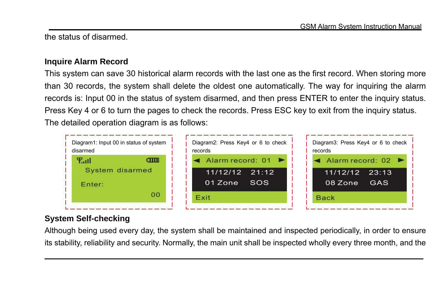the status of disarmed.

#### **Inquire Alarm Record**

This system can save 30 historical alarm records with the last one as the first record. When storing more than 30 records, the system shall delete the oldest one automatically. The way for inquiring the alarm records is: Input 00 in the status of system disarmed, and then press ENTER to enter the inquiry status. Press Key 4 or 6 to turn the pages to check the records. Press ESC key to exit from the inquiry status. The detailed operation diagram is as follows:



## **System Self-checking**

Although being used every day, the system shall be maintained and inspected periodically, in order to ensure its stability, reliability and security. Normally, the main unit shall be inspected wholly every three month, and the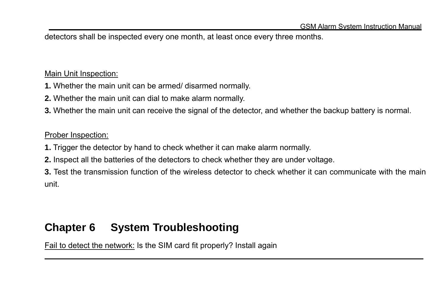detectors shall be inspected every one month, at least once every three months.

#### Main Unit Inspection:

- **1.** Whether the main unit can be armed/ disarmed normally.
- **2.** Whether the main unit can dial to make alarm normally.
- **3.** Whether the main unit can receive the signal of the detector, and whether the backup battery is normal.

#### Prober Inspection:

- **1.** Trigger the detector by hand to check whether it can make alarm normally.
- **2.** Inspect all the batteries of the detectors to check whether they are under voltage.

**3.** Test the transmission function of the wireless detector to check whether it can communicate with the main unit.

## **Chapter 6 System Troubleshooting**

Fail to detect the network: Is the SIM card fit properly? Install again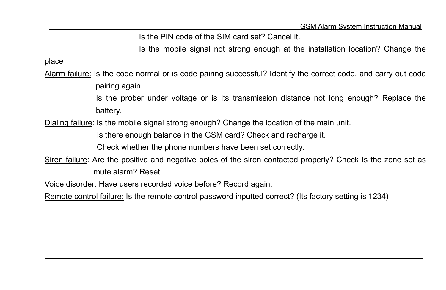Is the PIN code of the SIM card set? Cancel it.

Is the mobile signal not strong enough at the installation location? Change the

place

Alarm failure: Is the code normal or is code pairing successful? Identify the correct code, and carry out code pairing again.

> Is the prober under voltage or is its transmission distance not long enough? Replace the battery.

Dialing failure: Is the mobile signal strong enough? Change the location of the main unit.

Is there enough balance in the GSM card? Check and recharge it.

Check whether the phone numbers have been set correctly.

Siren failure: Are the positive and negative poles of the siren contacted properly? Check Is the zone set as mute alarm? Reset

Voice disorder: Have users recorded voice before? Record again.

Remote control failure: Is the remote control password inputted correct? (Its factory setting is 1234)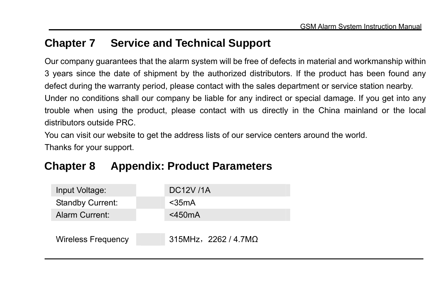## **Chapter 7 Service and Technical Support**

Our company guarantees that the alarm system will be free of defects in material and workmanship within 3 years since the date of shipment by the authorized distributors. If the product has been found any defect during the warranty period, please contact with the sales department or service station nearby. Under no conditions shall our company be liable for any indirect or special damage. If you get into any trouble when using the product, please contact with us directly in the China mainland or the local distributors outside PRC.

You can visit our website to get the address lists of our service centers around the world. Thanks for your support.

## **Chapter 8 Appendix: Product Parameters**

| Input Voltage:            | <b>DC12V/1A</b>                 |  |  |
|---------------------------|---------------------------------|--|--|
| <b>Standby Current:</b>   | $<$ 35mA                        |  |  |
| Alarm Current:            | $<$ 450 $mA$                    |  |  |
| <b>Wireless Frequency</b> | $315MHz$ , 2262 / 4.7M $\Omega$ |  |  |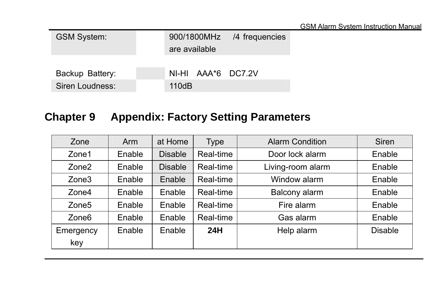#### GSM Alarm System Instruction Manual

| <b>GSM System:</b> | 900/1800MHz /4 frequencies<br>are available |
|--------------------|---------------------------------------------|
| Backup Battery:    | NI-HI AAA*6 DC7.2V                          |
| Siren Loudness:    | 110dB                                       |

## **Chapter 9 Appendix: Factory Setting Parameters**

| Zone              | Arm    | at Home        | <b>Alarm Condition</b><br><b>Type</b> |                 | <b>Siren</b>   |
|-------------------|--------|----------------|---------------------------------------|-----------------|----------------|
| Zone1             | Enable | <b>Disable</b> | Real-time                             | Door lock alarm | Enable         |
| Zone <sub>2</sub> | Enable | <b>Disable</b> | Living-room alarm<br>Real-time        |                 | Enable         |
| Zone <sub>3</sub> | Enable | Enable         | Real-time                             | Window alarm    | Enable         |
| Zone4             | Enable | Enable         | Real-time                             | Balcony alarm   | Enable         |
| Zone <sub>5</sub> | Enable | Enable         | Real-time                             | Fire alarm      | Enable         |
| Zone <sub>6</sub> | Enable | Enable         | Real-time                             | Gas alarm       | Enable         |
| Emergency         | Enable | Enable         | 24H                                   | Help alarm      | <b>Disable</b> |
| key               |        |                |                                       |                 |                |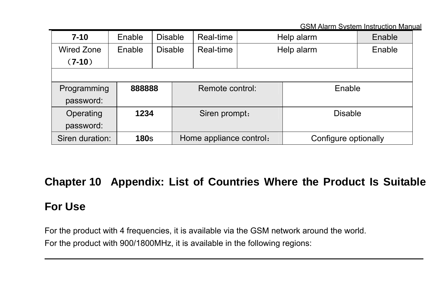GSM Alarm System Instruction Manual

| $7 - 10$          | Enable<br><b>Disable</b> |                |                         | Real-time | Help alarm           |         | Enable |
|-------------------|--------------------------|----------------|-------------------------|-----------|----------------------|---------|--------|
| <b>Wired Zone</b> | Enable                   | <b>Disable</b> |                         | Real-time | Help alarm           |         | Enable |
| $(7-10)$          |                          |                |                         |           |                      |         |        |
|                   |                          |                |                         |           |                      |         |        |
| Programming       | 888888                   |                | Remote control:         |           |                      | Enable  |        |
| password:         |                          |                |                         |           |                      |         |        |
| Operating         | 1234                     |                | Siren prompt:           |           |                      | Disable |        |
| password:         |                          |                |                         |           |                      |         |        |
| Siren duration:   | <b>180s</b>              |                | Home appliance control: |           | Configure optionally |         |        |

# **Chapter 10 Appendix: List of Countries Where the Product Is Suitable**

## **For Use**

For the product with 4 frequencies, it is available via the GSM network around the world. For the product with 900/1800MHz, it is available in the following regions: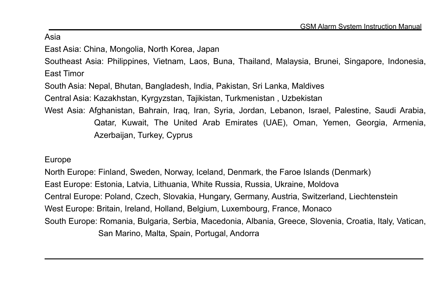Asia

East Asia: China, Mongolia, North Korea, Japan

Southeast Asia: Philippines, Vietnam, Laos, Buna, Thailand, Malaysia, Brunei, Singapore, Indonesia, East Timor

South Asia: Nepal, Bhutan, Bangladesh, India, Pakistan, Sri Lanka, Maldives

Central Asia: [Kazakhstan](http://en.wikipedia.org/wiki/Kazakhstan), [Kyrgyzstan](http://en.wikipedia.org/wiki/Kyrgyzstan), [Tajikistan](http://en.wikipedia.org/wiki/Tajikistan), [Turkmenistan](http://en.wikipedia.org/wiki/Turkmenistan) , [Uzbekistan](http://en.wikipedia.org/wiki/Uzbekistan) 

West Asia: Afghanistan, Bahrain, Iraq, Iran, Syria, Jordan, Lebanon, Israel, Palestine, Saudi Arabia, Qatar, Kuwait, The United Arab Emirates (UAE), Oman, Yemen, Georgia, Armenia, Azerbaijan, Turkey, Cyprus

Europe

North Europe: Finland, Sweden, Norway, Iceland, Denmark, the Faroe Islands (Denmark) East Europe: Estonia, Latvia, Lithuania, White Russia, Russia, Ukraine, Moldova Central Europe: Poland, Czech, Slovakia, Hungary, Germany, Austria, Switzerland, Liechtenstein West Europe: Britain, Ireland, Holland, Belgium, Luxembourg, France, Monaco South Europe: Romania, Bulgaria, Serbia, Macedonia, Albania, Greece, Slovenia, Croatia, Italy, Vatican, San Marino, Malta, Spain, Portugal, Andorra